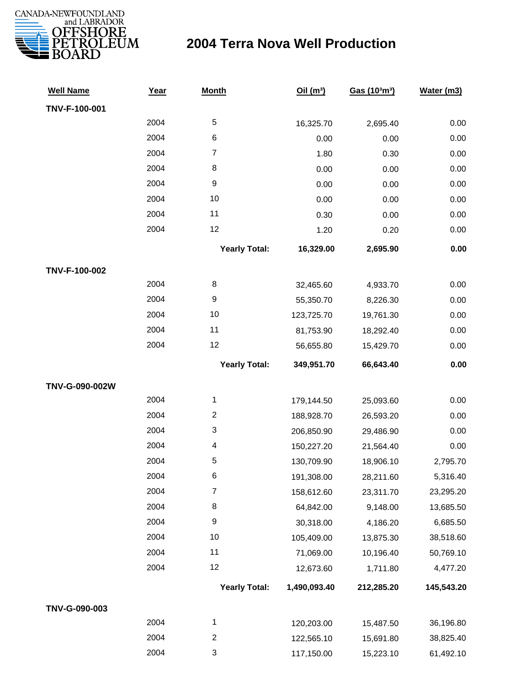

| <b>Well Name</b> | Year | <b>Month</b>            | Oil(m <sup>3</sup> ) | Gas (103m3) | Water (m3) |
|------------------|------|-------------------------|----------------------|-------------|------------|
| TNV-F-100-001    |      |                         |                      |             |            |
|                  | 2004 | $\sqrt{5}$              | 16,325.70            | 2,695.40    | 0.00       |
|                  | 2004 | 6                       | 0.00                 | 0.00        | 0.00       |
|                  | 2004 | $\overline{7}$          | 1.80                 | 0.30        | 0.00       |
|                  | 2004 | $\,8\,$                 | 0.00                 | 0.00        | 0.00       |
|                  | 2004 | $\boldsymbol{9}$        | 0.00                 | 0.00        | 0.00       |
|                  | 2004 | 10                      | 0.00                 | 0.00        | 0.00       |
|                  | 2004 | 11                      | 0.30                 | 0.00        | 0.00       |
|                  | 2004 | 12                      | 1.20                 | 0.20        | 0.00       |
|                  |      | <b>Yearly Total:</b>    | 16,329.00            | 2,695.90    | 0.00       |
| TNV-F-100-002    |      |                         |                      |             |            |
|                  | 2004 | 8                       | 32,465.60            | 4,933.70    | 0.00       |
|                  | 2004 | $\boldsymbol{9}$        | 55,350.70            | 8,226.30    | 0.00       |
|                  | 2004 | 10                      | 123,725.70           | 19,761.30   | 0.00       |
|                  | 2004 | 11                      | 81,753.90            | 18,292.40   | 0.00       |
|                  | 2004 | 12                      | 56,655.80            | 15,429.70   | 0.00       |
|                  |      | <b>Yearly Total:</b>    | 349,951.70           | 66,643.40   | 0.00       |
| TNV-G-090-002W   |      |                         |                      |             |            |
|                  | 2004 | $\mathbf{1}$            | 179,144.50           | 25,093.60   | 0.00       |
|                  | 2004 | $\overline{\mathbf{c}}$ | 188,928.70           | 26,593.20   | 0.00       |
|                  | 2004 | 3                       | 206,850.90           | 29,486.90   | 0.00       |
|                  | 2004 | 4                       | 150,227.20           | 21,564.40   | 0.00       |
|                  | 2004 | 5                       | 130,709.90           | 18,906.10   | 2,795.70   |
|                  | 2004 | 6                       | 191,308.00           | 28,211.60   | 5,316.40   |
|                  | 2004 | $\boldsymbol{7}$        | 158,612.60           | 23,311.70   | 23,295.20  |
|                  | 2004 | $\,8\,$                 | 64,842.00            | 9,148.00    | 13,685.50  |
|                  | 2004 | $\boldsymbol{9}$        | 30,318.00            | 4,186.20    | 6,685.50   |
|                  | 2004 | 10                      | 105,409.00           | 13,875.30   | 38,518.60  |
|                  | 2004 | 11                      | 71,069.00            | 10,196.40   | 50,769.10  |
|                  | 2004 | 12                      | 12,673.60            | 1,711.80    | 4,477.20   |
|                  |      | <b>Yearly Total:</b>    | 1,490,093.40         | 212,285.20  | 145,543.20 |
| TNV-G-090-003    |      |                         |                      |             |            |
|                  | 2004 | 1                       | 120,203.00           | 15,487.50   | 36,196.80  |
|                  | 2004 | $\overline{\mathbf{c}}$ | 122,565.10           | 15,691.80   | 38,825.40  |
|                  | 2004 | 3                       | 117,150.00           | 15,223.10   | 61,492.10  |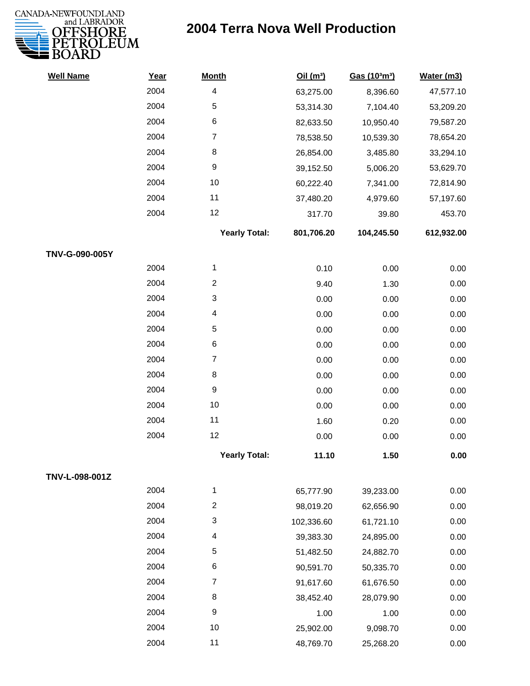

| <b>Well Name</b> | Year | <b>Month</b>            | Oil(m <sup>3</sup> ) | Gas (103m3) | Water (m3) |
|------------------|------|-------------------------|----------------------|-------------|------------|
|                  | 2004 | $\overline{\mathbf{4}}$ | 63,275.00            | 8,396.60    | 47,577.10  |
|                  | 2004 | 5                       | 53,314.30            | 7,104.40    | 53,209.20  |
|                  | 2004 | 6                       | 82,633.50            | 10,950.40   | 79,587.20  |
|                  | 2004 | $\overline{7}$          | 78,538.50            | 10,539.30   | 78,654.20  |
|                  | 2004 | 8                       | 26,854.00            | 3,485.80    | 33,294.10  |
|                  | 2004 | 9                       | 39,152.50            | 5,006.20    | 53,629.70  |
|                  | 2004 | 10                      | 60,222.40            | 7,341.00    | 72,814.90  |
|                  | 2004 | 11                      | 37,480.20            | 4,979.60    | 57,197.60  |
|                  | 2004 | 12                      | 317.70               | 39.80       | 453.70     |
|                  |      | <b>Yearly Total:</b>    | 801,706.20           | 104,245.50  | 612,932.00 |
| TNV-G-090-005Y   |      |                         |                      |             |            |
|                  | 2004 | 1                       | 0.10                 | 0.00        | 0.00       |
|                  | 2004 | $\overline{c}$          | 9.40                 | 1.30        | 0.00       |
|                  | 2004 | 3                       | 0.00                 | 0.00        | 0.00       |
|                  | 2004 | 4                       | 0.00                 | 0.00        | 0.00       |
|                  | 2004 | 5                       | 0.00                 | 0.00        | 0.00       |
|                  | 2004 | 6                       | 0.00                 | 0.00        | 0.00       |
|                  | 2004 | $\overline{7}$          | 0.00                 | 0.00        | 0.00       |
|                  | 2004 | 8                       | 0.00                 | 0.00        | 0.00       |
|                  | 2004 | 9                       | 0.00                 | 0.00        | 0.00       |
|                  | 2004 | 10                      | 0.00                 | 0.00        | 0.00       |
|                  | 2004 | 11                      | 1.60                 | 0.20        | 0.00       |
|                  | 2004 | 12                      | 0.00                 | 0.00        | 0.00       |
|                  |      | <b>Yearly Total:</b>    | 11.10                | 1.50        | 0.00       |
| TNV-L-098-001Z   |      |                         |                      |             |            |
|                  | 2004 | 1                       | 65,777.90            | 39,233.00   | 0.00       |
|                  | 2004 | $\overline{c}$          | 98,019.20            | 62,656.90   | 0.00       |
|                  | 2004 | 3                       | 102,336.60           | 61,721.10   | 0.00       |
|                  | 2004 | 4                       | 39,383.30            | 24,895.00   | 0.00       |
|                  | 2004 | 5                       | 51,482.50            | 24,882.70   | 0.00       |
|                  | 2004 | 6                       | 90,591.70            | 50,335.70   | 0.00       |
|                  | 2004 | $\overline{7}$          | 91,617.60            | 61,676.50   | 0.00       |
|                  | 2004 | 8                       | 38,452.40            | 28,079.90   | 0.00       |
|                  | 2004 | 9                       | 1.00                 | 1.00        | 0.00       |
|                  | 2004 | 10                      | 25,902.00            | 9,098.70    | 0.00       |
|                  | 2004 | 11                      | 48,769.70            | 25,268.20   | 0.00       |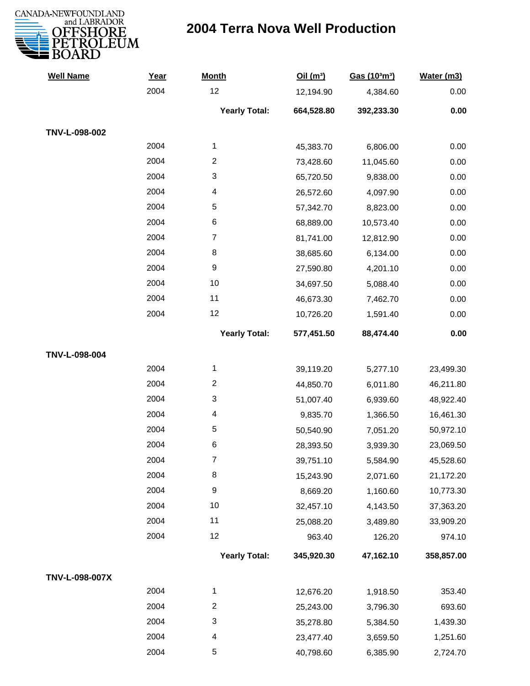

| <b>Well Name</b> | Year | <b>Month</b>         | Oil(m <sup>3</sup> ) | Gas (103m3) | Water (m3) |
|------------------|------|----------------------|----------------------|-------------|------------|
|                  | 2004 | 12                   | 12,194.90            | 4,384.60    | 0.00       |
|                  |      | <b>Yearly Total:</b> | 664,528.80           | 392,233.30  | 0.00       |
| TNV-L-098-002    |      |                      |                      |             |            |
|                  | 2004 | 1                    | 45,383.70            | 6,806.00    | 0.00       |
|                  | 2004 | $\overline{c}$       | 73,428.60            | 11,045.60   | 0.00       |
|                  | 2004 | 3                    | 65,720.50            | 9,838.00    | 0.00       |
|                  | 2004 | 4                    | 26,572.60            | 4,097.90    | 0.00       |
|                  | 2004 | 5                    | 57,342.70            | 8,823.00    | 0.00       |
|                  | 2004 | 6                    | 68,889.00            | 10,573.40   | 0.00       |
|                  | 2004 | $\boldsymbol{7}$     | 81,741.00            | 12,812.90   | 0.00       |
|                  | 2004 | 8                    | 38,685.60            | 6,134.00    | 0.00       |
|                  | 2004 | $\boldsymbol{9}$     | 27,590.80            | 4,201.10    | 0.00       |
|                  | 2004 | 10                   | 34,697.50            | 5,088.40    | 0.00       |
|                  | 2004 | 11                   | 46,673.30            | 7,462.70    | 0.00       |
|                  | 2004 | 12                   | 10,726.20            | 1,591.40    | 0.00       |
|                  |      | <b>Yearly Total:</b> | 577,451.50           | 88,474.40   | 0.00       |
| TNV-L-098-004    |      |                      |                      |             |            |
|                  | 2004 | 1                    | 39,119.20            | 5,277.10    | 23,499.30  |
|                  | 2004 | $\overline{2}$       | 44,850.70            | 6,011.80    | 46,211.80  |
|                  | 2004 | 3                    | 51,007.40            | 6,939.60    | 48,922.40  |
|                  | 2004 | 4                    | 9,835.70             | 1,366.50    | 16,461.30  |
|                  | 2004 | 5                    | 50,540.90            | 7,051.20    | 50,972.10  |
|                  | 2004 | 6                    | 28,393.50            | 3,939.30    | 23,069.50  |
|                  | 2004 | 7                    | 39,751.10            | 5,584.90    | 45,528.60  |
|                  | 2004 | 8                    | 15,243.90            | 2,071.60    | 21,172.20  |
|                  | 2004 | $\boldsymbol{9}$     | 8,669.20             | 1,160.60    | 10,773.30  |
|                  | 2004 | 10                   | 32,457.10            | 4,143.50    | 37,363.20  |
|                  | 2004 | 11                   | 25,088.20            | 3,489.80    | 33,909.20  |
|                  | 2004 | 12                   | 963.40               | 126.20      | 974.10     |
|                  |      | <b>Yearly Total:</b> | 345,920.30           | 47,162.10   | 358,857.00 |
| TNV-L-098-007X   |      |                      |                      |             |            |
|                  | 2004 | 1                    | 12,676.20            | 1,918.50    | 353.40     |
|                  | 2004 | $\overline{c}$       | 25,243.00            | 3,796.30    | 693.60     |
|                  | 2004 | 3                    | 35,278.80            | 5,384.50    | 1,439.30   |
|                  | 2004 | 4                    | 23,477.40            | 3,659.50    | 1,251.60   |
|                  | 2004 | 5                    | 40,798.60            | 6,385.90    | 2,724.70   |